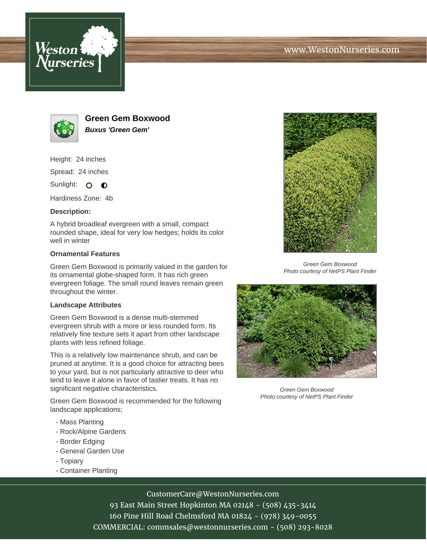





**Green Gem Boxwood Buxus 'Green Gem'**

Height: 24 inches

Spread: 24 inches

Sunlight: O **O** 

Hardiness Zone: 4b

## **Description:**

A hybrid broadleaf evergreen with a small, compact rounded shape, ideal for very low hedges; holds its color well in winter

## **Ornamental Features**

Green Gem Boxwood is primarily valued in the garden for its ornamental globe-shaped form. It has rich green evergreen foliage. The small round leaves remain green throughout the winter.

## **Landscape Attributes**

Green Gem Boxwood is a dense multi-stemmed evergreen shrub with a more or less rounded form. Its relatively fine texture sets it apart from other landscape plants with less refined foliage.

This is a relatively low maintenance shrub, and can be pruned at anytime. It is a good choice for attracting bees to your yard, but is not particularly attractive to deer who tend to leave it alone in favor of tastier treats. It has no significant negative characteristics.

Green Gem Boxwood is recommended for the following landscape applications;

- Mass Planting
- Rock/Alpine Gardens
- Border Edging
- General Garden Use
- Topiary
- Container Planting



CustomerCare@WestonNurseries.com 93 East Main Street Hopkinton MA 02148 - (508) 435-3414 160 Pine Hill Road Chelmsford MA 01824 - (978) 349-0055 COMMERCIAL: commsales@westonnurseries.com - (508) 293-8028



Green Gem Boxwood Photo courtesy of NetPS Plant Finder



Green Gem Boxwood Photo courtesy of NetPS Plant Finder